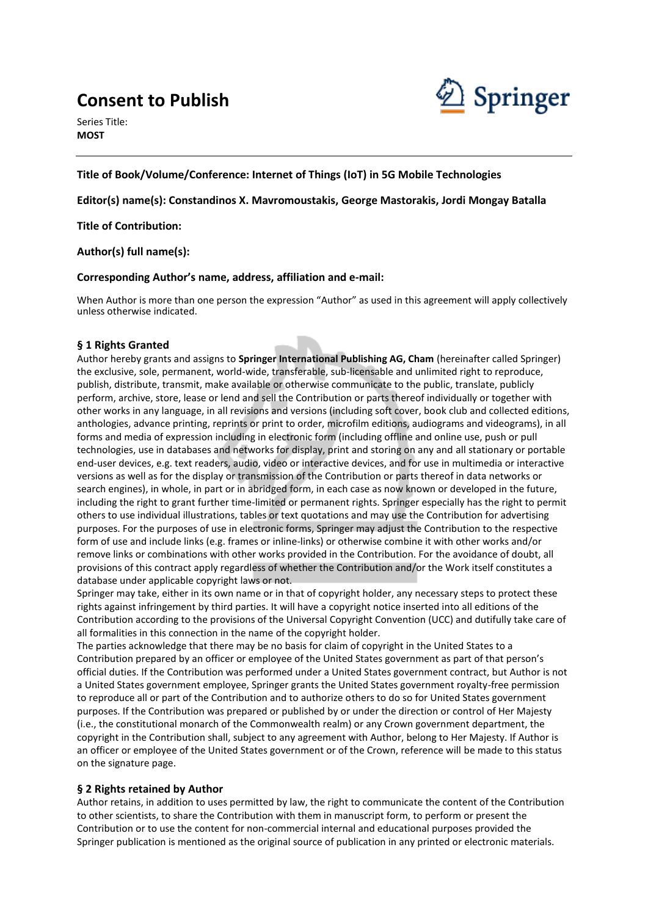# **Consent to Publish**

Series Title: **MOST**



## **Title of Book/Volume/Conference: Internet of Things (IoT) in 5G Mobile Technologies**

## **Editor(s) name(s): Constandinos X. Mavromoustakis, George Mastorakis, Jordi Mongay Batalla**

**Title of Contribution:**

## **Author(s) full name(s):**

#### **Corresponding Author's name, address, affiliation and e-mail:**

When Author is more than one person the expression "Author" as used in this agreement will apply collectively unless otherwise indicated.

## **§ 1 Rights Granted**

Author hereby grants and assigns to **Springer International Publishing AG, Cham** (hereinafter called Springer) the exclusive, sole, permanent, world-wide, transferable, sub-licensable and unlimited right to reproduce, publish, distribute, transmit, make available or otherwise communicate to the public, translate, publicly perform, archive, store, lease or lend and sell the Contribution or parts thereof individually or together with other works in any language, in all revisions and versions (including soft cover, book club and collected editions, anthologies, advance printing, reprints or print to order, microfilm editions, audiograms and videograms), in all forms and media of expression including in electronic form (including offline and online use, push or pull technologies, use in databases and networks for display, print and storing on any and all stationary or portable end-user devices, e.g. text readers, audio, video or interactive devices, and for use in multimedia or interactive versions as well as for the display or transmission of the Contribution or parts thereof in data networks or search engines), in whole, in part or in abridged form, in each case as now known or developed in the future, including the right to grant further time-limited or permanent rights. Springer especially has the right to permit others to use individual illustrations, tables or text quotations and may use the Contribution for advertising purposes. For the purposes of use in electronic forms, Springer may adjust the Contribution to the respective form of use and include links (e.g. frames or inline-links) or otherwise combine it with other works and/or remove links or combinations with other works provided in the Contribution. For the avoidance of doubt, all provisions of this contract apply regardless of whether the Contribution and/or the Work itself constitutes a database under applicable copyright laws or not.

Springer may take, either in its own name or in that of copyright holder, any necessary steps to protect these rights against infringement by third parties. It will have a copyright notice inserted into all editions of the Contribution according to the provisions of the Universal Copyright Convention (UCC) and dutifully take care of all formalities in this connection in the name of the copyright holder.

The parties acknowledge that there may be no basis for claim of copyright in the United States to a Contribution prepared by an officer or employee of the United States government as part of that person's official duties. If the Contribution was performed under a United States government contract, but Author is not a United States government employee, Springer grants the United States government royalty-free permission to reproduce all or part of the Contribution and to authorize others to do so for United States government purposes. If the Contribution was prepared or published by or under the direction or control of Her Majesty (i.e., the constitutional monarch of the Commonwealth realm) or any Crown government department, the copyright in the Contribution shall, subject to any agreement with Author, belong to Her Majesty. If Author is an officer or employee of the United States government or of the Crown, reference will be made to this status on the signature page.

## **§ 2 Rights retained by Author**

Author retains, in addition to uses permitted by law, the right to communicate the content of the Contribution to other scientists, to share the Contribution with them in manuscript form, to perform or present the Contribution or to use the content for non-commercial internal and educational purposes provided the Springer publication is mentioned as the original source of publication in any printed or electronic materials.